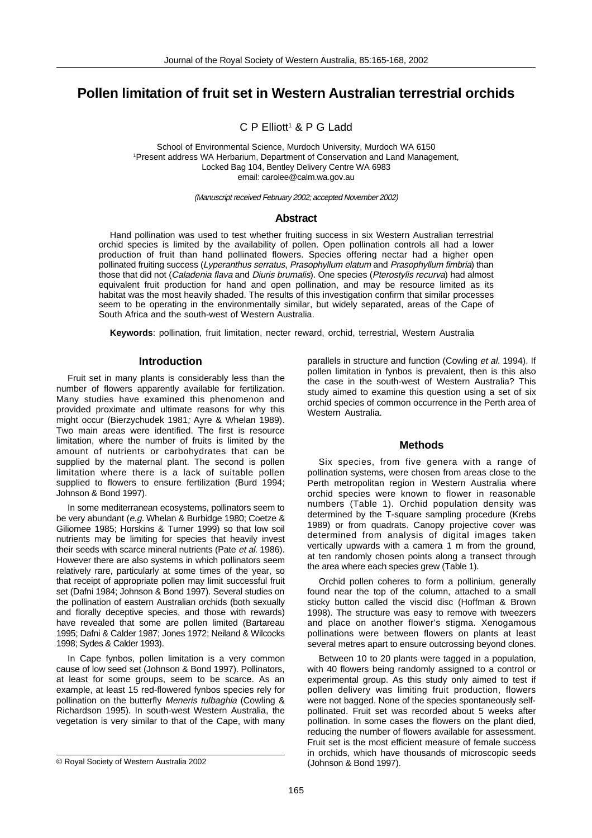# **Pollen limitation of fruit set in Western Australian terrestrial orchids**

C P Elliott<sup>1</sup> & P G Ladd

School of Environmental Science, Murdoch University, Murdoch WA 6150 1Present address WA Herbarium, Department of Conservation and Land Management, Locked Bag 104, Bentley Delivery Centre WA 6983 email: carolee@calm.wa.gov.au

(Manuscript received February 2002; accepted November 2002)

### **Abstract**

Hand pollination was used to test whether fruiting success in six Western Australian terrestrial orchid species is limited by the availability of pollen. Open pollination controls all had a lower production of fruit than hand pollinated flowers. Species offering nectar had a higher open pollinated fruiting success (Lyperanthus serratus, Prasophyllum elatum and Prasophyllum fimbria) than those that did not (Caladenia flava and Diuris brumalis). One species (Pterostylis recurva) had almost equivalent fruit production for hand and open pollination, and may be resource limited as its habitat was the most heavily shaded. The results of this investigation confirm that similar processes seem to be operating in the environmentally similar, but widely separated, areas of the Cape of South Africa and the south-west of Western Australia.

**Keywords**: pollination, fruit limitation, necter reward, orchid, terrestrial, Western Australia

### **Introduction**

Fruit set in many plants is considerably less than the number of flowers apparently available for fertilization. Many studies have examined this phenomenon and provided proximate and ultimate reasons for why this might occur (Bierzychudek 1981; Ayre & Whelan 1989). Two main areas were identified. The first is resource limitation, where the number of fruits is limited by the amount of nutrients or carbohydrates that can be supplied by the maternal plant. The second is pollen limitation where there is a lack of suitable pollen supplied to flowers to ensure fertilization (Burd 1994; Johnson & Bond 1997).

In some mediterranean ecosystems, pollinators seem to be very abundant (e.g. Whelan & Burbidge 1980; Coetze & Giliomee 1985; Horskins & Turner 1999) so that low soil nutrients may be limiting for species that heavily invest their seeds with scarce mineral nutrients (Pate et al. 1986). However there are also systems in which pollinators seem relatively rare, particularly at some times of the year, so that receipt of appropriate pollen may limit successful fruit set (Dafni 1984; Johnson & Bond 1997). Several studies on the pollination of eastern Australian orchids (both sexually and florally deceptive species, and those with rewards) have revealed that some are pollen limited (Bartareau 1995; Dafni & Calder 1987; Jones 1972; Neiland & Wilcocks 1998; Sydes & Calder 1993).

In Cape fynbos, pollen limitation is a very common cause of low seed set (Johnson & Bond 1997). Pollinators, at least for some groups, seem to be scarce. As an example, at least 15 red-flowered fynbos species rely for pollination on the butterfly Meneris tulbaghia (Cowling & Richardson 1995). In south-west Western Australia, the vegetation is very similar to that of the Cape, with many

parallels in structure and function (Cowling et al. 1994). If pollen limitation in fynbos is prevalent, then is this also the case in the south-west of Western Australia? This study aimed to examine this question using a set of six orchid species of common occurrence in the Perth area of Western Australia.

#### **Methods**

Six species, from five genera with a range of pollination systems, were chosen from areas close to the Perth metropolitan region in Western Australia where orchid species were known to flower in reasonable numbers (Table 1). Orchid population density was determined by the T-square sampling procedure (Krebs 1989) or from quadrats. Canopy projective cover was determined from analysis of digital images taken vertically upwards with a camera 1 m from the ground, at ten randomly chosen points along a transect through the area where each species grew (Table 1).

Orchid pollen coheres to form a pollinium, generally found near the top of the column, attached to a small sticky button called the viscid disc (Hoffman & Brown 1998). The structure was easy to remove with tweezers and place on another flower's stigma. Xenogamous pollinations were between flowers on plants at least several metres apart to ensure outcrossing beyond clones.

Between 10 to 20 plants were tagged in a population, with 40 flowers being randomly assigned to a control or experimental group. As this study only aimed to test if pollen delivery was limiting fruit production, flowers were not bagged. None of the species spontaneously selfpollinated. Fruit set was recorded about 5 weeks after pollination. In some cases the flowers on the plant died, reducing the number of flowers available for assessment. Fruit set is the most efficient measure of female success in orchids, which have thousands of microscopic seeds

<sup>©</sup> Royal Society of Western Australia 2002 (Johnson & Bond 1997).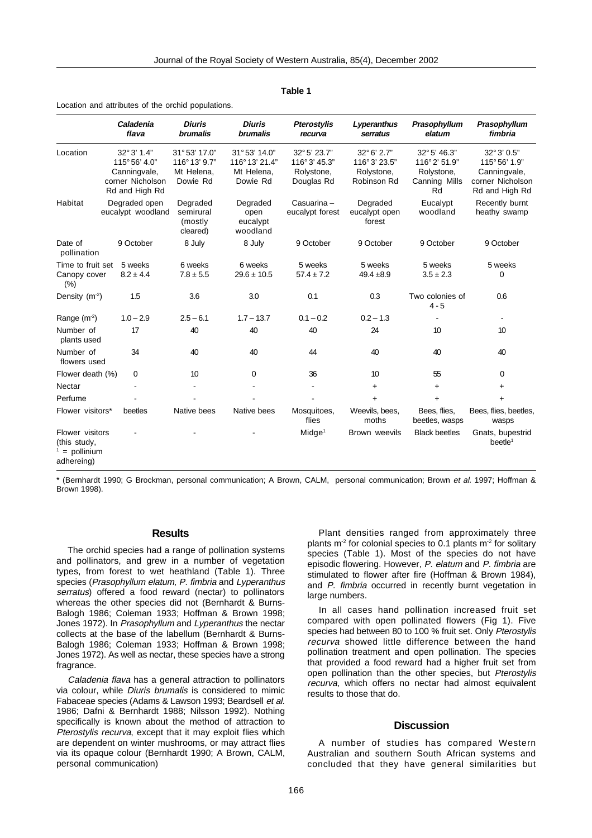|                                                                | Caladenia<br>flava                                                                 | <b>Diuris</b><br><b>brumalis</b>                       | <b>Diuris</b><br><b>brumalis</b>                        | <b>Pterostylis</b><br>recurva                             | Lyperanthus<br>serratus                                 | Prasophyllum<br>elatum                                            | Prasophyllum<br>fimbria                                                           |
|----------------------------------------------------------------|------------------------------------------------------------------------------------|--------------------------------------------------------|---------------------------------------------------------|-----------------------------------------------------------|---------------------------------------------------------|-------------------------------------------------------------------|-----------------------------------------------------------------------------------|
| Location                                                       | 32° 3' 1.4"<br>115° 56' 4.0"<br>Canningvale,<br>corner Nicholson<br>Rd and High Rd | 31°53' 17.0"<br>116°13' 9.7"<br>Mt Helena.<br>Dowie Rd | 31°53' 14.0"<br>116°13' 21.4"<br>Mt Helena,<br>Dowie Rd | 32° 5' 23.7"<br>116° 3' 45.3"<br>Rolystone,<br>Douglas Rd | 32°6' 2.7"<br>116°3' 23.5"<br>Rolystone,<br>Robinson Rd | 32° 5' 46.3"<br>116°2' 51.9"<br>Rolystone,<br>Canning Mills<br>Rd | 32° 3' 0.5"<br>115°56' 1.9"<br>Canningvale,<br>corner Nicholson<br>Rd and High Rd |
| Habitat                                                        | Degraded open<br>eucalypt woodland                                                 | Degraded<br>semirural<br>(mostly<br>cleared)           | Degraded<br>open<br>eucalypt<br>woodland                | Casuarina-<br>eucalypt forest                             | Degraded<br>eucalypt open<br>forest                     | Eucalypt<br>woodland                                              | Recently burnt<br>heathy swamp                                                    |
| Date of<br>pollination                                         | 9 October                                                                          | 8 July                                                 | 8 July                                                  | 9 October                                                 | 9 October                                               | 9 October                                                         | 9 October                                                                         |
| Time to fruit set<br>Canopy cover<br>(%)                       | 5 weeks<br>$8.2 \pm 4.4$                                                           | 6 weeks<br>$7.8 \pm 5.5$                               | 6 weeks<br>$29.6 \pm 10.5$                              | 5 weeks<br>$57.4 \pm 7.2$                                 | 5 weeks<br>$49.4 \pm 8.9$                               | 5 weeks<br>$3.5 \pm 2.3$                                          | 5 weeks<br>0                                                                      |
| Density (m-2)                                                  | 1.5                                                                                | 3.6                                                    | 3.0                                                     | 0.1                                                       | 0.3                                                     | Two colonies of<br>$4 - 5$                                        | 0.6                                                                               |
| Range $(m2)$                                                   | $1.0 - 2.9$                                                                        | $2.5 - 6.1$                                            | $1.7 - 13.7$                                            | $0.1 - 0.2$                                               | $0.2 - 1.3$                                             |                                                                   |                                                                                   |
| Number of<br>plants used                                       | 17                                                                                 | 40                                                     | 40                                                      | 40                                                        | 24                                                      | 10                                                                | 10                                                                                |
| Number of<br>flowers used                                      | 34                                                                                 | 40                                                     | 40                                                      | 44                                                        | 40                                                      | 40                                                                | 40                                                                                |
| Flower death (%)                                               | 0                                                                                  | 10                                                     | $\Omega$                                                | 36                                                        | 10                                                      | 55                                                                | 0                                                                                 |
| Nectar                                                         |                                                                                    |                                                        |                                                         |                                                           | +                                                       | $\ddot{}$                                                         | $\ddot{}$                                                                         |
| Perfume                                                        |                                                                                    |                                                        |                                                         |                                                           | $\ddot{}$                                               | $+$                                                               | $+$                                                                               |
| Flower visitors*                                               | beetles                                                                            | Native bees                                            | Native bees                                             | Mosquitoes,<br>flies                                      | Weevils, bees,<br>moths                                 | Bees, flies,<br>beetles, wasps                                    | Bees, flies, beetles,<br>wasps                                                    |
| Flower visitors<br>(this study,<br>$=$ pollinium<br>adhereing) |                                                                                    |                                                        |                                                         | Midge <sup>1</sup>                                        | Brown weevils                                           | <b>Black beetles</b>                                              | Gnats, bupestrid<br>beetle <sup>1</sup>                                           |

#### **Table 1**

Location and attributes of the orchid populations.

\* (Bernhardt 1990; G Brockman, personal communication; A Brown, CALM, personal communication; Brown et al. 1997; Hoffman & Brown 1998).

## **Results**

The orchid species had a range of pollination systems and pollinators, and grew in a number of vegetation types, from forest to wet heathland (Table 1). Three species (Prasophyllum elatum, P. fimbria and Lyperanthus serratus) offered a food reward (nectar) to pollinators whereas the other species did not (Bernhardt & Burns-Balogh 1986; Coleman 1933; Hoffman & Brown 1998; Jones 1972). In Prasophyllum and Lyperanthus the nectar collects at the base of the labellum (Bernhardt & Burns-Balogh 1986; Coleman 1933; Hoffman & Brown 1998; Jones 1972). As well as nectar, these species have a strong fragrance.

Caladenia flava has a general attraction to pollinators via colour, while Diuris brumalis is considered to mimic Fabaceae species (Adams & Lawson 1993; Beardsell et al. 1986; Dafni & Bernhardt 1988; Nilsson 1992). Nothing specifically is known about the method of attraction to Pterostylis recurva, except that it may exploit flies which are dependent on winter mushrooms, or may attract flies via its opaque colour (Bernhardt 1990; A Brown, CALM, personal communication)

Plant densities ranged from approximately three plants m<sup>-2</sup> for colonial species to 0.1 plants m<sup>-2</sup> for solitary species (Table 1). Most of the species do not have episodic flowering. However, P. elatum and P. fimbria are stimulated to flower after fire (Hoffman & Brown 1984), and P. fimbria occurred in recently burnt vegetation in large numbers.

In all cases hand pollination increased fruit set compared with open pollinated flowers (Fig 1). Five species had between 80 to 100 % fruit set. Only Pterostylis recurva showed little difference between the hand pollination treatment and open pollination. The species that provided a food reward had a higher fruit set from open pollination than the other species, but Pterostylis recurva, which offers no nectar had almost equivalent results to those that do.

## **Discussion**

A number of studies has compared Western Australian and southern South African systems and concluded that they have general similarities but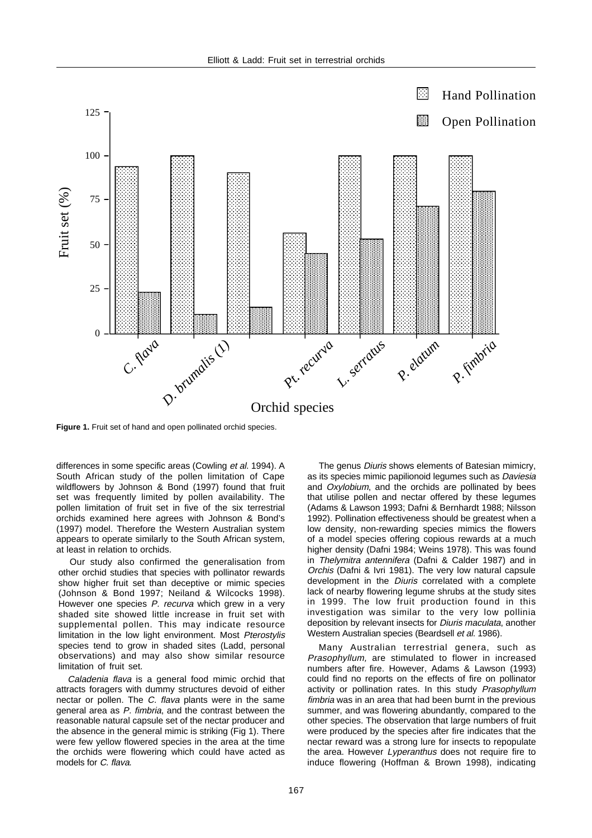

**Figure 1.** Fruit set of hand and open pollinated orchid species.

differences in some specific areas (Cowling et al. 1994). A South African study of the pollen limitation of Cape wildflowers by Johnson & Bond (1997) found that fruit set was frequently limited by pollen availability. The pollen limitation of fruit set in five of the six terrestrial orchids examined here agrees with Johnson & Bond's (1997) model. Therefore the Western Australian system appears to operate similarly to the South African system, at least in relation to orchids.

Our study also confirmed the generalisation from other orchid studies that species with pollinator rewards show higher fruit set than deceptive or mimic species (Johnson & Bond 1997; Neiland & Wilcocks 1998). However one species P. recurva which grew in a very shaded site showed little increase in fruit set with supplemental pollen. This may indicate resource limitation in the low light environment. Most Pterostylis species tend to grow in shaded sites (Ladd, personal observations) and may also show similar resource limitation of fruit set.

Caladenia flava is a general food mimic orchid that attracts foragers with dummy structures devoid of either nectar or pollen. The C. flava plants were in the same general area as P. fimbria, and the contrast between the reasonable natural capsule set of the nectar producer and the absence in the general mimic is striking (Fig 1). There were few yellow flowered species in the area at the time the orchids were flowering which could have acted as models for C. flava.

The genus *Diuris* shows elements of Batesian mimicry, as its species mimic papilionoid legumes such as Daviesia and Oxylobium, and the orchids are pollinated by bees that utilise pollen and nectar offered by these legumes (Adams & Lawson 1993; Dafni & Bernhardt 1988; Nilsson 1992). Pollination effectiveness should be greatest when a low density, non-rewarding species mimics the flowers of a model species offering copious rewards at a much higher density (Dafni 1984; Weins 1978). This was found in Thelymitra antennifera (Dafni & Calder 1987) and in Orchis (Dafni & Ivri 1981). The very low natural capsule development in the Diuris correlated with a complete lack of nearby flowering legume shrubs at the study sites in 1999. The low fruit production found in this investigation was similar to the very low pollinia deposition by relevant insects for Diuris maculata, another Western Australian species (Beardsell et al. 1986).

Many Australian terrestrial genera, such as Prasophyllum, are stimulated to flower in increased numbers after fire. However, Adams & Lawson (1993) could find no reports on the effects of fire on pollinator activity or pollination rates. In this study Prasophyllum fimbria was in an area that had been burnt in the previous summer, and was flowering abundantly, compared to the other species. The observation that large numbers of fruit were produced by the species after fire indicates that the nectar reward was a strong lure for insects to repopulate the area. However Lyperanthus does not require fire to induce flowering (Hoffman & Brown 1998), indicating